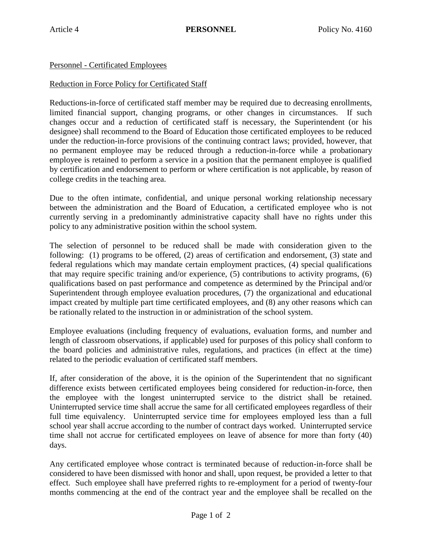Personnel - Certificated Employees

## Reduction in Force Policy for Certificated Staff

Reductions-in-force of certificated staff member may be required due to decreasing enrollments, limited financial support, changing programs, or other changes in circumstances. If such changes occur and a reduction of certificated staff is necessary, the Superintendent (or his designee) shall recommend to the Board of Education those certificated employees to be reduced under the reduction-in-force provisions of the continuing contract laws; provided, however, that no permanent employee may be reduced through a reduction-in-force while a probationary employee is retained to perform a service in a position that the permanent employee is qualified by certification and endorsement to perform or where certification is not applicable, by reason of college credits in the teaching area.

Due to the often intimate, confidential, and unique personal working relationship necessary between the administration and the Board of Education, a certificated employee who is not currently serving in a predominantly administrative capacity shall have no rights under this policy to any administrative position within the school system.

The selection of personnel to be reduced shall be made with consideration given to the following: (1) programs to be offered, (2) areas of certification and endorsement, (3) state and federal regulations which may mandate certain employment practices, (4) special qualifications that may require specific training and/or experience, (5) contributions to activity programs, (6) qualifications based on past performance and competence as determined by the Principal and/or Superintendent through employee evaluation procedures, (7) the organizational and educational impact created by multiple part time certificated employees, and (8) any other reasons which can be rationally related to the instruction in or administration of the school system.

Employee evaluations (including frequency of evaluations, evaluation forms, and number and length of classroom observations, if applicable) used for purposes of this policy shall conform to the board policies and administrative rules, regulations, and practices (in effect at the time) related to the periodic evaluation of certificated staff members.

If, after consideration of the above, it is the opinion of the Superintendent that no significant difference exists between certificated employees being considered for reduction-in-force, then the employee with the longest uninterrupted service to the district shall be retained. Uninterrupted service time shall accrue the same for all certificated employees regardless of their full time equivalency. Uninterrupted service time for employees employed less than a full school year shall accrue according to the number of contract days worked. Uninterrupted service time shall not accrue for certificated employees on leave of absence for more than forty (40) days.

Any certificated employee whose contract is terminated because of reduction-in-force shall be considered to have been dismissed with honor and shall, upon request, be provided a letter to that effect. Such employee shall have preferred rights to re-employment for a period of twenty-four months commencing at the end of the contract year and the employee shall be recalled on the